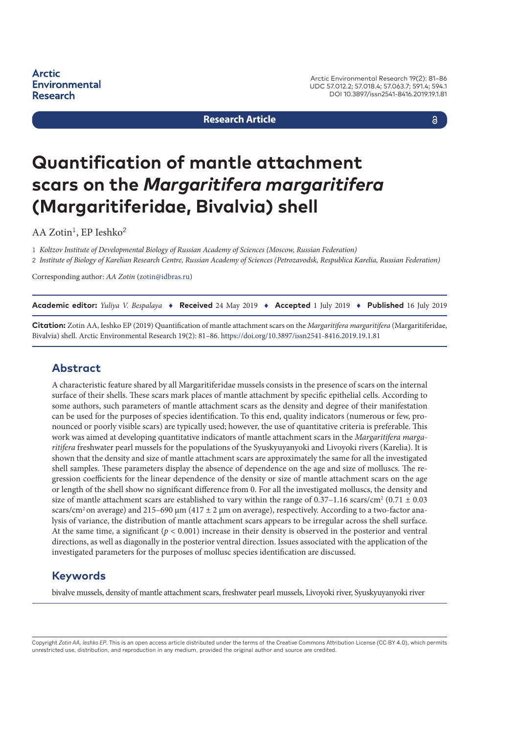**Arctic Environmental Research** 

Arctic Environmental Research 19(2): 81–86 UDC 57.012.2; 57.018.4; 57.063.7; 591.4; 594.1 DOI 10.3897/issn2541-8416.2019.19.1.81

**Research Article**

a

# **Quantification of mantle attachment scars on the** *Margaritifera margaritifera* **(Margaritiferidae, Bivalvia) shell**

AA Zotin<sup>1</sup>, EP Ieshko<sup>2</sup>

1 *Koltzov Institute of Developmental Biology of Russian Academy of Sciences (Moscow, Russian Federation)* 2 *Institute of Biology of Karelian Research Centre, Russian Academy of Sciences (Petrozavodsk, Respublica Karelia, Russian Federation)*

Corresponding author: *AA Zotin* [\(zotin@idbras.ru\)](mailto:zotin@idbras.ru)

**Academic editor:** *Yuliya V. Bespalaya* ♦ **Received** 24 May 2019 ♦ **Accepted** 1 July 2019 ♦ **Published** 16 July 2019

**Citation:** Zotin AA, Ieshko EP (2019) Quantification of mantle attachment scars on the *Margaritifera margaritifera* (Margaritiferidae, Bivalvia) shell. Arctic Environmental Research 19(2): 81–86. <https://doi.org/10.3897/issn2541-8416.2019.19.1.81>

#### **Abstract**

A characteristic feature shared by all Margaritiferidae mussels consists in the presence of scars on the internal surface of their shells. These scars mark places of mantle attachment by specific epithelial cells. According to some authors, such parameters of mantle attachment scars as the density and degree of their manifestation can be used for the purposes of species identification. To this end, quality indicators (numerous or few, pronounced or poorly visible scars) are typically used; however, the use of quantitative criteria is preferable. This work was aimed at developing quantitative indicators of mantle attachment scars in the *Margaritifera margaritifera* freshwater pearl mussels for the populations of the Syuskyuyanyoki and Livoyoki rivers (Karelia). It is shown that the density and size of mantle attachment scars are approximately the same for all the investigated shell samples. These parameters display the absence of dependence on the age and size of molluscs. The regression coefficients for the linear dependence of the density or size of mantle attachment scars on the age or length of the shell show no significant difference from 0. For all the investigated molluscs, the density and size of mantle attachment scars are established to vary within the range of  $0.37-1.16$  scars/cm<sup>2</sup> ( $0.71 \pm 0.03$ ) scars/cm<sup>2</sup> on average) and 215–690  $\mu$ m (417  $\pm$  2  $\mu$ m on average), respectively. According to a two-factor analysis of variance, the distribution of mantle attachment scars appears to be irregular across the shell surface. At the same time, a significant (*p* < 0.001) increase in their density is observed in the posterior and ventral directions, as well as diagonally in the posterior ventral direction. Issues associated with the application of the investigated parameters for the purposes of mollusc species identification are discussed.

#### **Keywords**

bivalve mussels, density of mantle attachment scars, freshwater pearl mussels, Livoyoki river, Syuskyuyanyoki river

Copyright *Zotin AA, Ieshko EP.* This is an open access article distributed under the terms of the Creative Commons Attribution License (CC-BY 4.0), which permits unrestricted use, distribution, and reproduction in any medium, provided the original author and source are credited.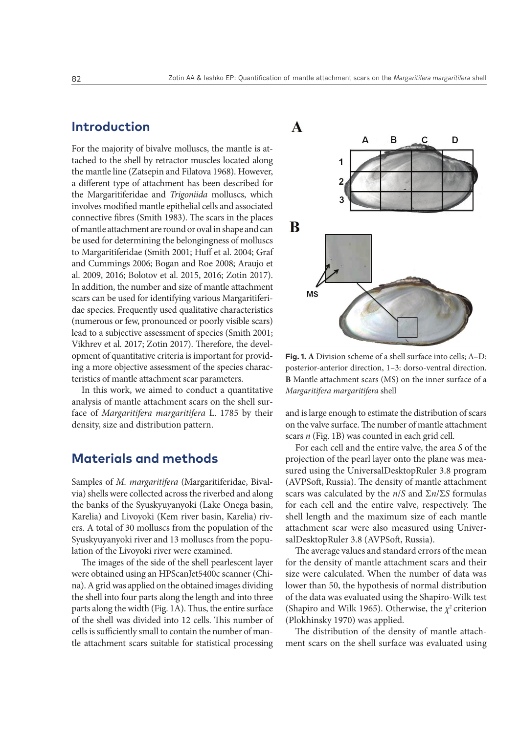## **Introduction**

For the majority of bivalve molluscs, the mantle is attached to the shell by retractor muscles located along the mantle line (Zatsepin and Filatova 1968). However, a different type of attachment has been described for the Margaritiferidae and *Trigoniida* molluscs, which involves modified mantle epithelial cells and associated connective fibres (Smith 1983). The scars in the places of mantle attachment are round or oval in shape and can be used for determining the belongingness of molluscs to Margaritiferidae (Smith 2001; Huff et al. 2004; Graf and Cummings 2006; Bogan and Roe 2008; Araujo et al. 2009, 2016; Bolotov et al. 2015, 2016; Zotin 2017). In addition, the number and size of mantle attachment scars can be used for identifying various Margaritiferidae species. Frequently used qualitative characteristics (numerous or few, pronounced or poorly visible scars) lead to a subjective assessment of species (Smith 2001; Vikhrev et al. 2017; Zotin 2017). Therefore, the development of quantitative criteria is important for providing a more objective assessment of the species characteristics of mantle attachment scar parameters.

In this work, we aimed to conduct a quantitative analysis of mantle attachment scars on the shell surface of *Margaritifera margaritifera* L. 1785 by their density, size and distribution pattern.

## **Materials and methods**

Samples of *M. margaritifera* (Margaritiferidae, Bivalvia) shells were collected across the riverbed and along the banks of the Syuskyuyanyoki (Lake Onega basin, Karelia) and Livoyoki (Kem river basin, Karelia) rivers. A total of 30 molluscs from the population of the Syuskyuyanyoki river and 13 molluscs from the population of the Livoyoki river were examined.

The images of the side of the shell pearlescent layer were obtained using an HPScanJet5400c scanner (China). A grid was applied on the obtained images dividing the shell into four parts along the length and into three parts along the width (Fig. 1A). Thus, the entire surface of the shell was divided into 12 cells. This number of cells is sufficiently small to contain the number of mantle attachment scars suitable for statistical processing



**Fig. 1. A** Division scheme of a shell surface into cells; A–D: posterior-anterior direction, 1–3: dorso-ventral direction. **B** Mantle attachment scars (MS) on the inner surface of a *Margaritifera margaritifera* shell

and is large enough to estimate the distribution of scars on the valve surface. The number of mantle attachment scars *n* (Fig. 1B) was counted in each grid cell.

For each cell and the entire valve, the area *S* of the projection of the pearl layer onto the plane was measured using the UniversalDesktopRuler 3.8 program (AVPSoft, Russia). The density of mantle attachment scars was calculated by the *n*/*S* and Σ*n*/Σ*S* formulas for each cell and the entire valve, respectively. The shell length and the maximum size of each mantle attachment scar were also measured using UniversalDesktopRuler 3.8 (AVPSoft, Russia).

The average values and standard errors of the mean for the density of mantle attachment scars and their size were calculated. When the number of data was lower than 50, the hypothesis of normal distribution of the data was evaluated using the Shapiro-Wilk test (Shapiro and Wilk 1965). Otherwise, the *χ*2 criterion (Plokhinsky 1970) was applied.

The distribution of the density of mantle attachment scars on the shell surface was evaluated using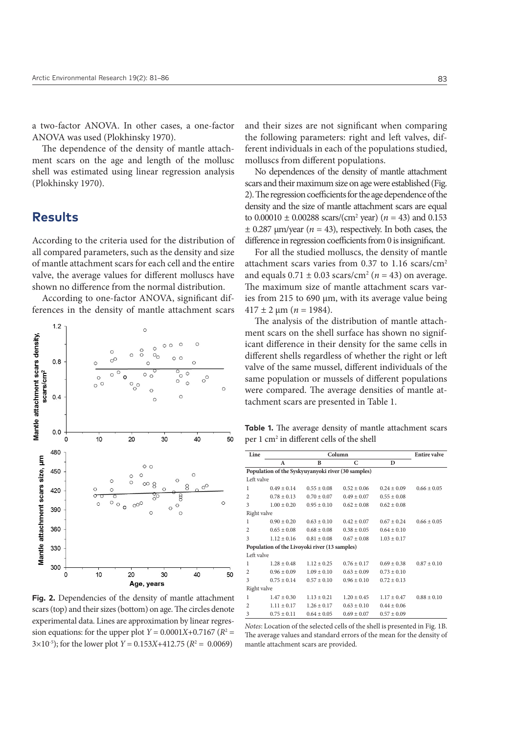a two-factor ANOVA. In other cases, a one-factor ANOVA was used (Plokhinsky 1970).

The dependence of the density of mantle attachment scars on the age and length of the mollusc shell was estimated using linear regression analysis (Plokhinsky 1970).

# **Results**

According to the criteria used for the distribution of all compared parameters, such as the density and size of mantle attachment scars for each cell and the entire valve, the average values for different molluscs have shown no difference from the normal distribution.

According to one-factor ANOVA, significant differences in the density of mantle attachment scars



**Fig. 2.** Dependencies of the density of mantle attachment scars (top) and their sizes (bottom) on age. The circles denote experimental data. Lines are approximation by linear regression equations: for the upper plot  $Y = 0.0001X + 0.7167$  ( $R^2 =$  $3 \times 10^{-5}$ ); for the lower plot *Y* = 0.153*X*+412.75 (*R*<sup>2</sup> = 0.0069)

and their sizes are not significant when comparing the following parameters: right and left valves, different individuals in each of the populations studied, molluscs from different populations.

No dependences of the density of mantle attachment scars and their maximum size on age were established (Fig. 2). The regression coefficients for the age dependence of the density and the size of mantle attachment scars are equal to  $0.00010 \pm 0.00288$  scars/(cm<sup>2</sup> year) ( $n = 43$ ) and 0.153  $\pm$  0.287  $\mu$ m/year (*n* = 43), respectively. In both cases, the difference in regression coefficients from 0 is insignificant.

For all the studied molluscs, the density of mantle attachment scars varies from 0.37 to 1.16 scars/cm2 and equals  $0.71 \pm 0.03$  scars/cm<sup>2</sup> ( $n = 43$ ) on average. The maximum size of mantle attachment scars varies from 215 to 690 µm, with its average value being  $417 \pm 2 \ \mu m$  (*n* = 1984).

The analysis of the distribution of mantle attachment scars on the shell surface has shown no significant difference in their density for the same cells in different shells regardless of whether the right or left valve of the same mussel, different individuals of the same population or mussels of different populations were compared. The average densities of mantle attachment scars are presented in Table 1.

**Table 1.** The average density of mantle attachment scars per 1 cm2 in different cells of the shell

| Line                                               | Column          |                 |                 |                 | <b>Entire valve</b> |
|----------------------------------------------------|-----------------|-----------------|-----------------|-----------------|---------------------|
|                                                    | A               | B               | C               | D               |                     |
| Population of the Syskyuyanyoki river (30 samples) |                 |                 |                 |                 |                     |
| Left valve                                         |                 |                 |                 |                 |                     |
| 1                                                  | $0.49 + 0.14$   | $0.55 \pm 0.08$ | $0.52 \pm 0.06$ | $0.24 + 0.09$   | $0.66 + 0.05$       |
| $\overline{c}$                                     | $0.78 \pm 0.13$ | $0.70 \pm 0.07$ | $0.49 \pm 0.07$ | $0.55 \pm 0.08$ |                     |
| 3                                                  | $1.00 \pm 0.20$ | $0.95 \pm 0.10$ | $0.62 \pm 0.08$ | $0.62 \pm 0.08$ |                     |
| Right valve                                        |                 |                 |                 |                 |                     |
| 1                                                  | $0.90 + 0.20$   | $0.63 \pm 0.10$ | $0.42 + 0.07$   | $0.67 \pm 0.24$ | $0.66 + 0.05$       |
| 2                                                  | $0.65 \pm 0.08$ | $0.68 \pm 0.08$ | $0.38 \pm 0.05$ | $0.64 \pm 0.10$ |                     |
| 3                                                  | $1.12 \pm 0.16$ | $0.81 \pm 0.08$ | $0.67 + 0.08$   | $1.03 \pm 0.17$ |                     |
| Population of the Livoyoki river (13 samples)      |                 |                 |                 |                 |                     |
| Left valve                                         |                 |                 |                 |                 |                     |
| 1                                                  | $1.28 \pm 0.48$ | $1.12 \pm 0.25$ | $0.76 \pm 0.17$ | $0.69 \pm 0.38$ | $0.87 \pm 0.10$     |
| $\overline{c}$                                     | $0.96 \pm 0.09$ | $1.09 + 0.10$   | $0.63 + 0.09$   | $0.73 + 0.10$   |                     |
| 3                                                  | $0.75 \pm 0.14$ | $0.57 \pm 0.10$ | $0.96 \pm 0.10$ | $0.72 \pm 0.13$ |                     |
| Right valve                                        |                 |                 |                 |                 |                     |
| $\mathbf{1}$                                       | $1.47 \pm 0.30$ | $1.13 \pm 0.21$ | $1.20 \pm 0.45$ | $1.17 \pm 0.47$ | $0.88 + 0.10$       |
| $\overline{c}$                                     | $1.11 \pm 0.17$ | $1.26 \pm 0.17$ | $0.63 \pm 0.10$ | $0.44 \pm 0.06$ |                     |
| 3                                                  | $0.75 \pm 0.11$ | $0.64 \pm 0.05$ | $0.69 \pm 0.07$ | $0.57 \pm 0.09$ |                     |

*Notes*: Location of the selected cells of the shell is presented in Fig. 1B. The average values and standard errors of the mean for the density of mantle attachment scars are provided.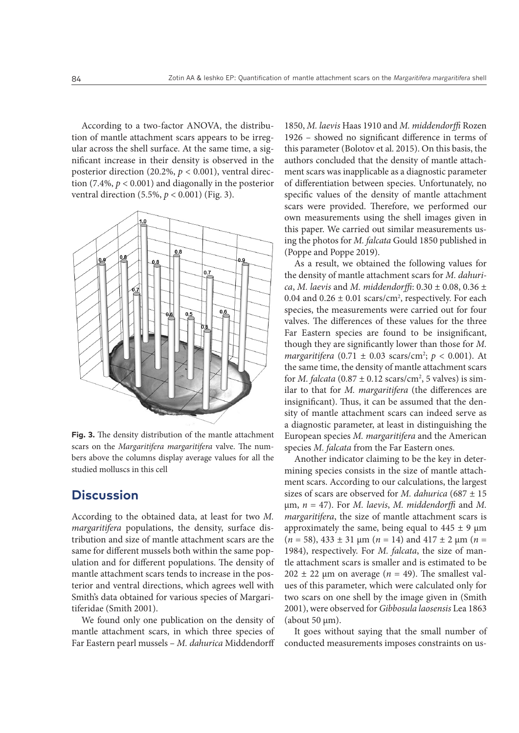According to a two-factor ANOVA, the distribution of mantle attachment scars appears to be irregular across the shell surface. At the same time, a significant increase in their density is observed in the posterior direction (20.2%, *p* < 0.001), ventral direction (7.4%, *p* < 0.001) and diagonally in the posterior ventral direction (5.5%, *p* < 0.001) (Fig. 3).



**Fig. 3.** The density distribution of the mantle attachment scars on the *Margaritifera margaritifera* valve. The numbers above the columns display average values for all the studied molluscs in this cell

# **Discussion**

According to the obtained data, at least for two *M. margaritifera* populations, the density, surface distribution and size of mantle attachment scars are the same for different mussels both within the same population and for different populations. The density of mantle attachment scars tends to increase in the posterior and ventral directions, which agrees well with Smith's data obtained for various species of Margaritiferidae (Smith 2001).

We found only one publication on the density of mantle attachment scars, in which three species of Far Eastern pearl mussels – *M. dahurica* Middendorff

1850, *M. laevis* Haas 1910 and *M. middendorffi* Rozen 1926 – showed no significant difference in terms of this parameter (Bolotov et al. 2015). On this basis, the authors concluded that the density of mantle attachment scars was inapplicable as a diagnostic parameter of differentiation between species. Unfortunately, no specific values of the density of mantle attachment scars were provided. Therefore, we performed our own measurements using the shell images given in this paper. We carried out similar measurements using the photos for *M. falcata* Gould 1850 published in (Poppe and Poppe 2019).

As a result, we obtained the following values for the density of mantle attachment scars for *M. dahurica*, *M. laevis* and *M. middendorffi*: 0.30 ± 0.08, 0.36 ± 0.04 and  $0.26 \pm 0.01$  scars/cm<sup>2</sup>, respectively. For each species, the measurements were carried out for four valves. The differences of these values for the three Far Eastern species are found to be insignificant, though they are significantly lower than those for *M. margaritifera*  $(0.71 \pm 0.03 \text{ scans/cm}^2$ ;  $p < 0.001$ ). At the same time, the density of mantle attachment scars for *M. falcata*  $(0.87 \pm 0.12 \text{ scans/cm}^2, 5 \text{ values})$  is similar to that for *M. margaritifera* (the differences are insignificant). Thus, it can be assumed that the density of mantle attachment scars can indeed serve as a diagnostic parameter, at least in distinguishing the European species *M. margaritifera* and the American species *M. falcata* from the Far Eastern ones.

Another indicator claiming to be the key in determining species consists in the size of mantle attachment scars. According to our calculations, the largest sizes of scars are observed for *M. dahurica* (687 ± 15 µm, *n* = 47). For *M. laevis*, *M. middendorffi* and *M. margaritifera*, the size of mantle attachment scars is approximately the same, being equal to  $445 \pm 9 \mu m$  $(n = 58)$ ,  $433 \pm 31 \text{ µm}$   $(n = 14)$  and  $417 \pm 2 \text{ µm}$   $(n = 14)$ 1984), respectively. For *M. falcata*, the size of mantle attachment scars is smaller and is estimated to be  $202 \pm 22$  µm on average ( $n = 49$ ). The smallest values of this parameter, which were calculated only for two scars on one shell by the image given in (Smith 2001), were observed for *Gibbosula laosensis* Lea 1863 (about  $50 \mu m$ ).

It goes without saying that the small number of conducted measurements imposes constraints on us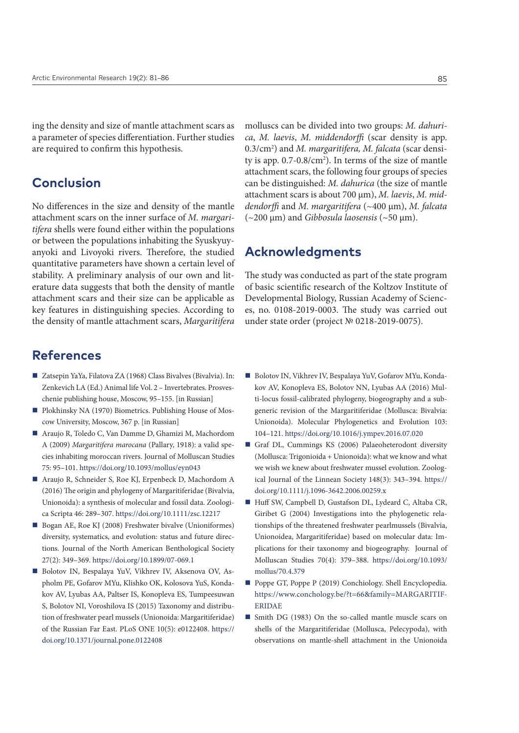ing the density and size of mantle attachment scars as a parameter of species differentiation. Further studies are required to confirm this hypothesis.

# **Conclusion**

No differences in the size and density of the mantle attachment scars on the inner surface of *M. margaritifera* shells were found either within the populations or between the populations inhabiting the Syuskyuyanyoki and Livoyoki rivers. Therefore, the studied quantitative parameters have shown a certain level of stability. A preliminary analysis of our own and literature data suggests that both the density of mantle attachment scars and their size can be applicable as key features in distinguishing species. According to the density of mantle attachment scars, *Margaritifera*

## **References**

- Zatsepin YaYa, Filatova ZA (1968) Class Bivalves (Bivalvia). In: Zenkevich LA (Ed.) Animal life Vol. 2 – Invertebrates. Prosveschenie publishing house, Moscow, 95–155. [in Russian]
- Plokhinsky NA (1970) Biometrics. Publishing House of Moscow University, Moscow, 367 p. [in Russian]
- Araujo R, Toledo C, Van Damme D, Ghamizi M, Machordom A (2009) *Margaritifera marocana* (Pallary, 1918): a valid species inhabiting moroccan rivers. Journal of Molluscan Studies 75: 95–101.<https://doi.org/10.1093/mollus/eyn043>
- Araujo R, Schneider S, Roe KJ, Erpenbeck D, Machordom A (2016) The origin and phylogeny of Margaritiferidae (Bivalvia, Unionoida): a synthesis of molecular and fossil data. Zoologica Scripta 46: 289–307. <https://doi.org/10.1111/zsc.12217>
- Bogan AE, Roe KJ (2008) Freshwater bivalve (Unioniformes) diversity, systematics, and evolution: status and future directions. Journal of the North American Benthological Society 27(2): 349–369.<https://doi.org/10.1899/07-069.1>
- Bolotov IN, Bespalaya YuV, Vikhrev IV, Aksenova OV, Aspholm PE, Gofarov MYu, Klishko OK, Kolosova YuS, Kondakov AV, Lyubas AA, Paltser IS, Konopleva ES, Tumpeesuwan S, Bolotov NI, Voroshilova IS (2015) Taxonomy and distribution of freshwater pearl mussels (Unionoida: Margaritiferidae) of the Russian Far East. PLoS ONE 10(5): e0122408. [https://](https://doi.org/10.1371/journal.pone.0122408) [doi.org/10.1371/journal.pone.0122408](https://doi.org/10.1371/journal.pone.0122408)

molluscs can be divided into two groups: *M. dahurica*, *M. laevis*, *M. middendorffi* (scar density is app. 0.3/cm2 ) and *M. margaritifera, M. falcata* (scar density is app. 0.7-0.8/cm<sup>2</sup>). In terms of the size of mantle attachment scars, the following four groups of species can be distinguished: *M. dahurica* (the size of mantle attachment scars is about 700 µm), *M. laevis*, *M. middendorffi* and *M. margaritifera* (~400 µm), *M. falcata*  (~200 µm) and *Gibbosula laosensis* (~50 µm).

#### **Acknowledgments**

The study was conducted as part of the state program of basic scientific research of the Koltzov Institute of Developmental Biology, Russian Academy of Sciences, no. 0108-2019-0003. The study was carried out under state order (project № 0218-2019-0075).

- Bolotov IN, Vikhrev IV, Bespalaya YuV, Gofarov MYu, Kondakov AV, Konopleva ES, Bolotov NN, Lyubas AA (2016) Multi-locus fossil-calibrated phylogeny, biogeography and a subgeneric revision of the Margaritiferidae (Mollusca: Bivalvia: Unionoida). Molecular Phylogenetics and Evolution 103: 104–121. <https://doi.org/10.1016/j.ympev.2016.07.020>
- Graf DL, Cummings KS (2006) Palaeoheterodont diversity (Mollusca: Trigonioida + Unionoida): what we know and what we wish we knew about freshwater mussel evolution. Zoological Journal of the Linnean Society 148(3): 343–394. [https://](https://doi.org/10.1111/j.1096-3642.2006.00259.x) [doi.org/10.1111/j.1096-3642.2006.00259.x](https://doi.org/10.1111/j.1096-3642.2006.00259.x)
- Huff SW, Campbell D, Gustafson DL, Lydeard C, Altaba CR, Giribet G (2004) Investigations into the phylogenetic relationships of the threatened freshwater pearlmussels (Bivalvia, Unionoidea, Margaritiferidae) based on molecular data: Implications for their taxonomy and biogeography. Journal of Molluscan Studies 70(4): 379–388. [https://doi.org/10.1093/](https://doi.org/10.1093/mollus/70.4.379) [mollus/70.4.379](https://doi.org/10.1093/mollus/70.4.379)
- Poppe GT, Poppe P (2019) Conchiology. Shell Encyclopedia. [https://www.conchology.be/?t=66&family=MARGARITIF-](https://www.conchology.be/?t=66&family=MARGARITIFERIDAE)[ERIDAE](https://www.conchology.be/?t=66&family=MARGARITIFERIDAE)
- Smith DG (1983) On the so-called mantle muscle scars on shells of the Margaritiferidae (Mollusca, Pelecypoda), with observations on mantle-shell attachment in the Unionoida